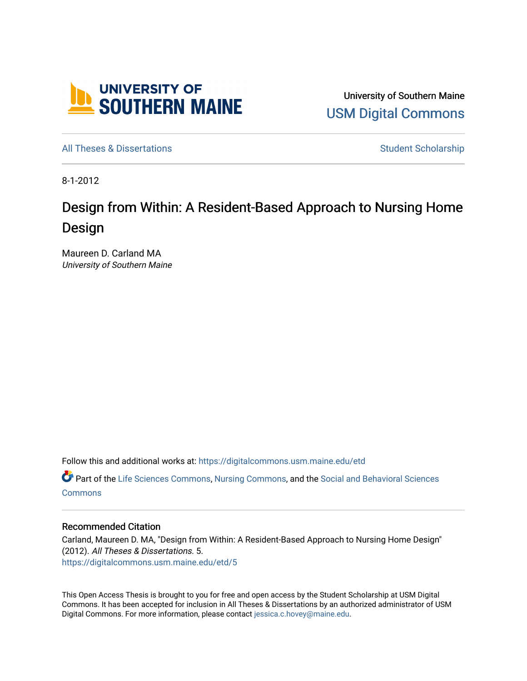

University of Southern Maine [USM Digital Commons](https://digitalcommons.usm.maine.edu/) 

[All Theses & Dissertations](https://digitalcommons.usm.maine.edu/etd) **Student Scholarship** Student Scholarship

8-1-2012

# Design from Within: A Resident-Based Approach to Nursing Home Design

Maureen D. Carland MA University of Southern Maine

Follow this and additional works at: [https://digitalcommons.usm.maine.edu/etd](https://digitalcommons.usm.maine.edu/etd?utm_source=digitalcommons.usm.maine.edu%2Fetd%2F5&utm_medium=PDF&utm_campaign=PDFCoverPages) 

Part of the [Life Sciences Commons,](http://network.bepress.com/hgg/discipline/1016?utm_source=digitalcommons.usm.maine.edu%2Fetd%2F5&utm_medium=PDF&utm_campaign=PDFCoverPages) [Nursing Commons,](http://network.bepress.com/hgg/discipline/718?utm_source=digitalcommons.usm.maine.edu%2Fetd%2F5&utm_medium=PDF&utm_campaign=PDFCoverPages) and the [Social and Behavioral Sciences](http://network.bepress.com/hgg/discipline/316?utm_source=digitalcommons.usm.maine.edu%2Fetd%2F5&utm_medium=PDF&utm_campaign=PDFCoverPages) **[Commons](http://network.bepress.com/hgg/discipline/316?utm_source=digitalcommons.usm.maine.edu%2Fetd%2F5&utm_medium=PDF&utm_campaign=PDFCoverPages)** 

#### Recommended Citation

Carland, Maureen D. MA, "Design from Within: A Resident-Based Approach to Nursing Home Design" (2012). All Theses & Dissertations. 5. [https://digitalcommons.usm.maine.edu/etd/5](https://digitalcommons.usm.maine.edu/etd/5?utm_source=digitalcommons.usm.maine.edu%2Fetd%2F5&utm_medium=PDF&utm_campaign=PDFCoverPages) 

This Open Access Thesis is brought to you for free and open access by the Student Scholarship at USM Digital Commons. It has been accepted for inclusion in All Theses & Dissertations by an authorized administrator of USM Digital Commons. For more information, please contact [jessica.c.hovey@maine.edu](mailto:ian.fowler@maine.edu).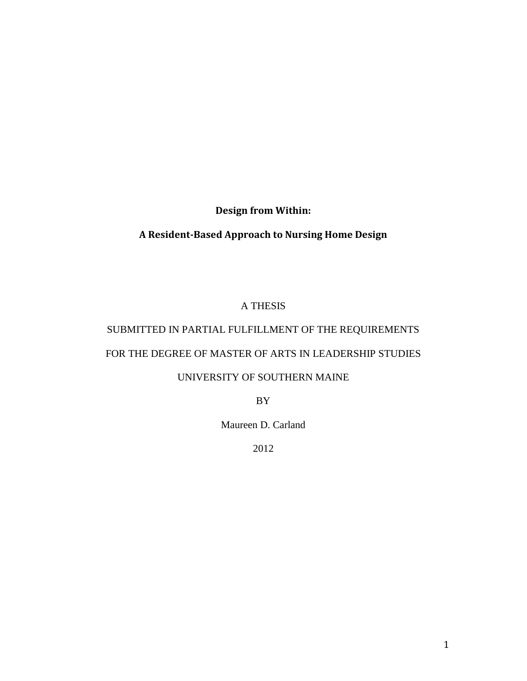**Design from Within:**

## **A Resident-Based Approach to Nursing Home Design**

## A THESIS

## SUBMITTED IN PARTIAL FULFILLMENT OF THE REQUIREMENTS

## FOR THE DEGREE OF MASTER OF ARTS IN LEADERSHIP STUDIES

## UNIVERSITY OF SOUTHERN MAINE

BY

Maureen D. Carland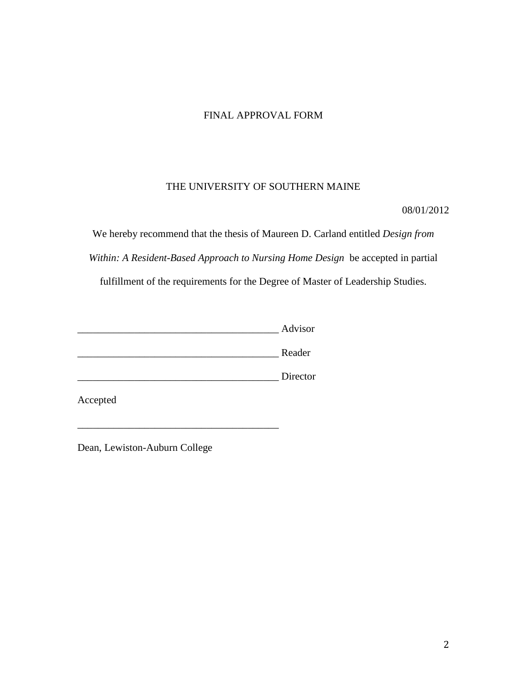## FINAL APPROVAL FORM

## THE UNIVERSITY OF SOUTHERN MAINE

08/01/2012

We hereby recommend that the thesis of Maureen D. Carland entitled *Design from Within: A Resident-Based Approach to Nursing Home Design* be accepted in partial fulfillment of the requirements for the Degree of Master of Leadership Studies.

| Advisor |
|---------|
|         |

\_\_\_\_\_\_\_\_\_\_\_\_\_\_\_\_\_\_\_\_\_\_\_\_\_\_\_\_\_\_\_\_\_\_\_\_\_\_\_ Reader

\_\_\_\_\_\_\_\_\_\_\_\_\_\_\_\_\_\_\_\_\_\_\_\_\_\_\_\_\_\_\_\_\_\_\_\_\_\_\_ Director

\_\_\_\_\_\_\_\_\_\_\_\_\_\_\_\_\_\_\_\_\_\_\_\_\_\_\_\_\_\_\_\_\_\_\_\_\_\_\_

Accepted

Dean, Lewiston-Auburn College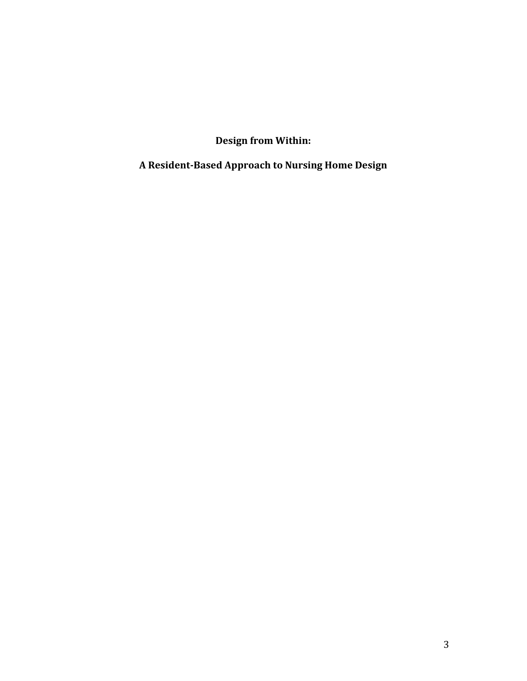**Design from Within:**

**A Resident-Based Approach to Nursing Home Design**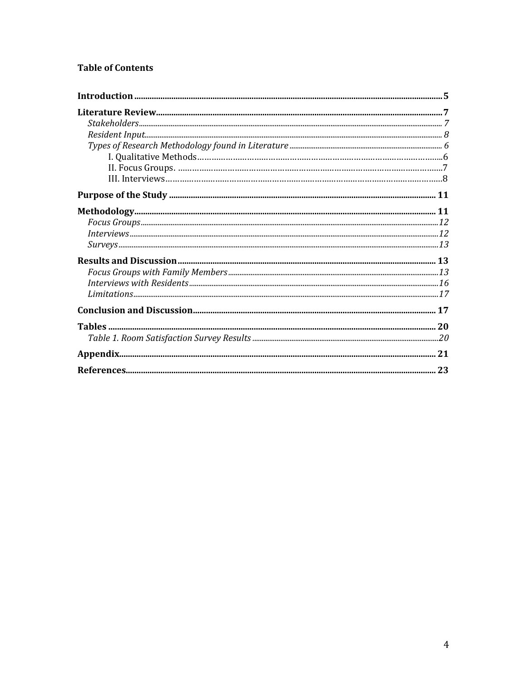## **Table of Contents**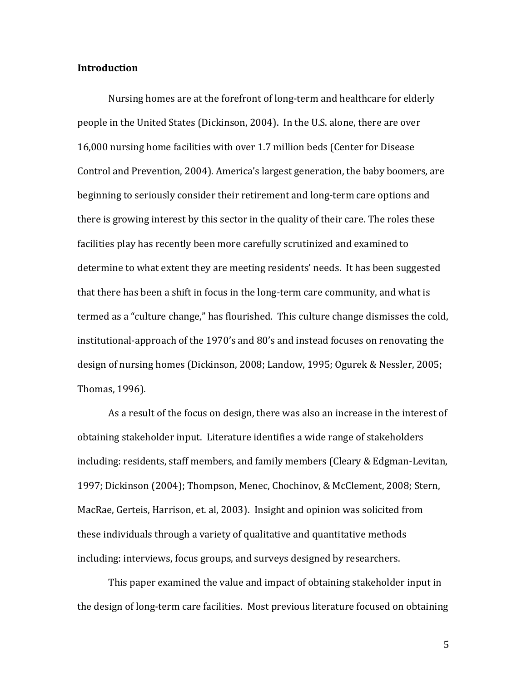#### **Introduction**

Nursing homes are at the forefront of long-term and healthcare for elderly people in the United States (Dickinson, 2004). In the U.S. alone, there are over 16,000 nursing home facilities with over 1.7 million beds (Center for Disease Control and Prevention, 2004). America's largest generation, the baby boomers, are beginning to seriously consider their retirement and long-term care options and there is growing interest by this sector in the quality of their care. The roles these facilities play has recently been more carefully scrutinized and examined to determine to what extent they are meeting residents' needs. It has been suggested that there has been a shift in focus in the long-term care community, and what is termed as a "culture change," has flourished. This culture change dismisses the cold, institutional-approach of the 1970's and 80's and instead focuses on renovating the design of nursing homes (Dickinson, 2008; Landow, 1995; Ogurek & Nessler, 2005; Thomas, 1996).

As a result of the focus on design, there was also an increase in the interest of obtaining stakeholder input. Literature identifies a wide range of stakeholders including: residents, staff members, and family members (Cleary & Edgman-Levitan, 1997; Dickinson (2004); Thompson, Menec, Chochinov, & McClement, 2008; Stern, MacRae, Gerteis, Harrison, et. al, 2003). Insight and opinion was solicited from these individuals through a variety of qualitative and quantitative methods including: interviews, focus groups, and surveys designed by researchers.

This paper examined the value and impact of obtaining stakeholder input in the design of long-term care facilities. Most previous literature focused on obtaining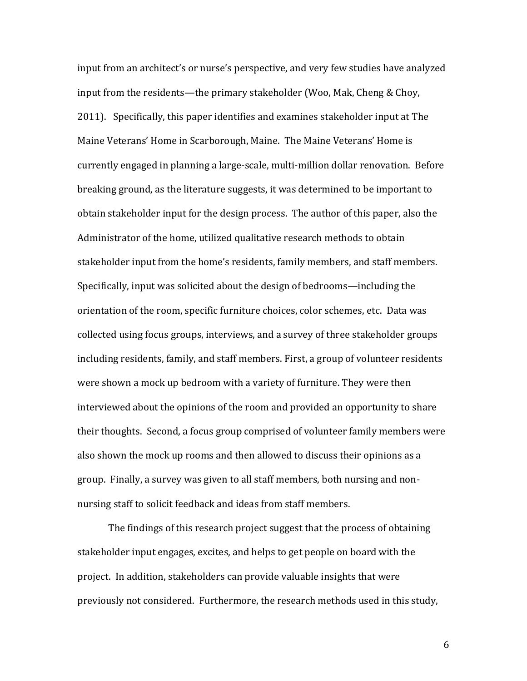input from an architect's or nurse's perspective, and very few studies have analyzed input from the residents—the primary stakeholder (Woo, Mak, Cheng & Choy, 2011). Specifically, this paper identifies and examines stakeholder input at The Maine Veterans' Home in Scarborough, Maine. The Maine Veterans' Home is currently engaged in planning a large-scale, multi-million dollar renovation. Before breaking ground, as the literature suggests, it was determined to be important to obtain stakeholder input for the design process. The author of this paper, also the Administrator of the home, utilized qualitative research methods to obtain stakeholder input from the home's residents, family members, and staff members. Specifically, input was solicited about the design of bedrooms—including the orientation of the room, specific furniture choices, color schemes, etc. Data was collected using focus groups, interviews, and a survey of three stakeholder groups including residents, family, and staff members. First, a group of volunteer residents were shown a mock up bedroom with a variety of furniture. They were then interviewed about the opinions of the room and provided an opportunity to share their thoughts. Second, a focus group comprised of volunteer family members were also shown the mock up rooms and then allowed to discuss their opinions as a group. Finally, a survey was given to all staff members, both nursing and nonnursing staff to solicit feedback and ideas from staff members.

The findings of this research project suggest that the process of obtaining stakeholder input engages, excites, and helps to get people on board with the project. In addition, stakeholders can provide valuable insights that were previously not considered. Furthermore, the research methods used in this study,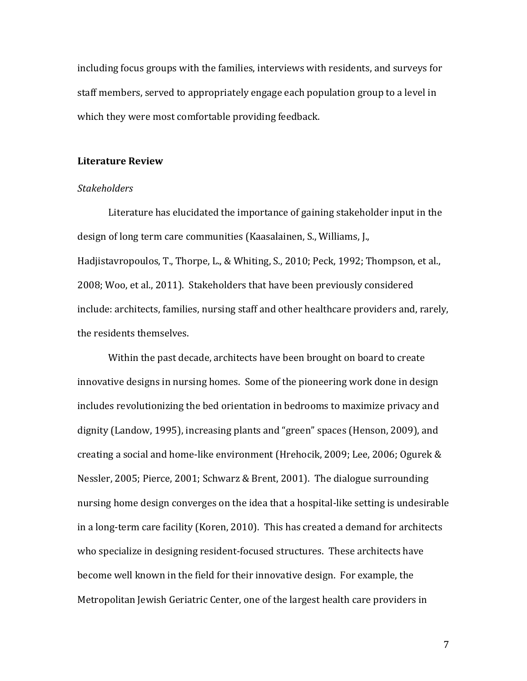including focus groups with the families, interviews with residents, and surveys for staff members, served to appropriately engage each population group to a level in which they were most comfortable providing feedback.

#### **Literature Review**

#### *Stakeholders*

Literature has elucidated the importance of gaining stakeholder input in the design of long term care communities (Kaasalainen, S., Williams, J., Hadiistavropoulos, T., Thorpe, L., & Whiting, S., 2010; Peck, 1992; Thompson, et al., 2008; Woo, et al., 2011). Stakeholders that have been previously considered include: architects, families, nursing staff and other healthcare providers and, rarely, the residents themselves.

Within the past decade, architects have been brought on board to create innovative designs in nursing homes. Some of the pioneering work done in design includes revolutionizing the bed orientation in bedrooms to maximize privacy and dignity (Landow, 1995), increasing plants and "green" spaces (Henson, 2009), and creating a social and home-like environment (Hrehocik, 2009; Lee, 2006; Ogurek & Nessler, 2005; Pierce, 2001; Schwarz & Brent, 2001). The dialogue surrounding nursing home design converges on the idea that a hospital-like setting is undesirable in a long-term care facility (Koren, 2010). This has created a demand for architects who specialize in designing resident-focused structures. These architects have become well known in the field for their innovative design. For example, the Metropolitan Jewish Geriatric Center, one of the largest health care providers in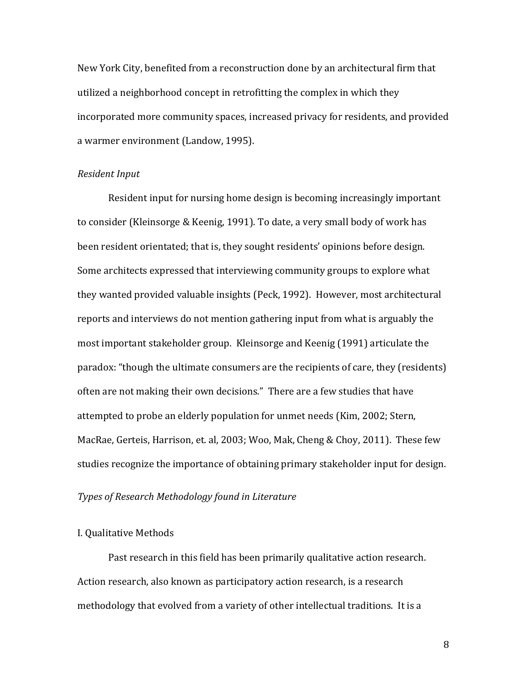New York City, benefited from a reconstruction done by an architectural firm that utilized a neighborhood concept in retrofitting the complex in which they incorporated more community spaces, increased privacy for residents, and provided a warmer environment (Landow, 1995).

#### *Resident Input*

Resident input for nursing home design is becoming increasingly important to consider (Kleinsorge & Keenig, 1991). To date, a very small body of work has been resident orientated; that is, they sought residents' opinions before design. Some architects expressed that interviewing community groups to explore what they wanted provided valuable insights (Peck, 1992). However, most architectural reports and interviews do not mention gathering input from what is arguably the most important stakeholder group. Kleinsorge and Keenig (1991) articulate the paradox: "though the ultimate consumers are the recipients of care, they (residents) often are not making their own decisions." There are a few studies that have attempted to probe an elderly population for unmet needs (Kim, 2002; Stern, MacRae, Gerteis, Harrison, et. al, 2003; Woo, Mak, Cheng & Choy, 2011). These few studies recognize the importance of obtaining primary stakeholder input for design.

#### *Types of Research Methodology found in Literature*

#### I. Qualitative Methods

Past research in this field has been primarily qualitative action research. Action research, also known as participatory action research, is a research methodology that evolved from a variety of other intellectual traditions. It is a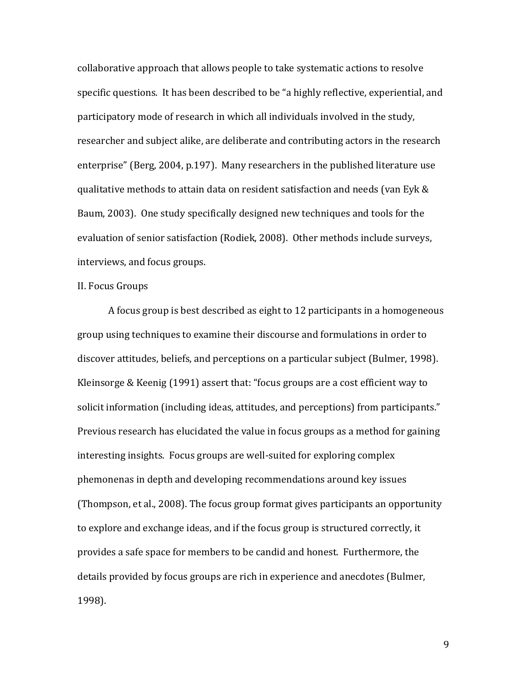collaborative approach that allows people to take systematic actions to resolve specific questions. It has been described to be "a highly reflective, experiential, and participatory mode of research in which all individuals involved in the study, researcher and subject alike, are deliberate and contributing actors in the research enterprise" (Berg, 2004, p.197). Many researchers in the published literature use qualitative methods to attain data on resident satisfaction and needs (van Eyk & Baum, 2003). One study specifically designed new techniques and tools for the evaluation of senior satisfaction (Rodiek, 2008). Other methods include surveys, interviews, and focus groups.

#### II. Focus Groups

A focus group is best described as eight to 12 participants in a homogeneous group using techniques to examine their discourse and formulations in order to discover attitudes, beliefs, and perceptions on a particular subject (Bulmer, 1998). Kleinsorge & Keenig (1991) assert that: "focus groups are a cost efficient way to solicit information (including ideas, attitudes, and perceptions) from participants." Previous research has elucidated the value in focus groups as a method for gaining interesting insights. Focus groups are well-suited for exploring complex phemonenas in depth and developing recommendations around key issues (Thompson, et al., 2008). The focus group format gives participants an opportunity to explore and exchange ideas, and if the focus group is structured correctly, it provides a safe space for members to be candid and honest. Furthermore, the details provided by focus groups are rich in experience and anecdotes (Bulmer, 1998).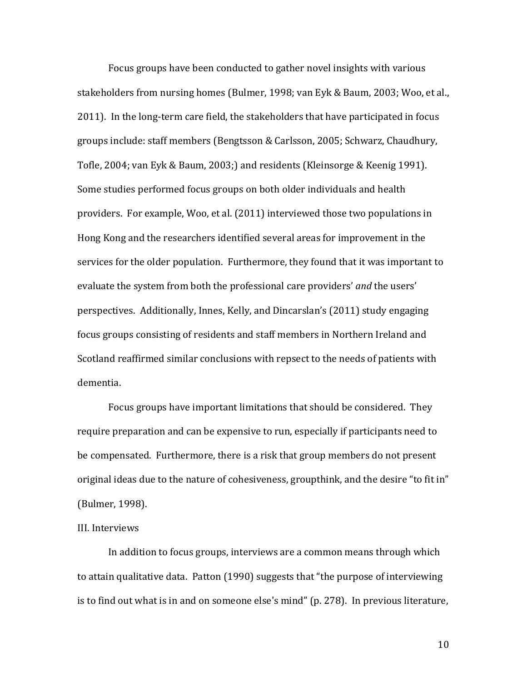Focus groups have been conducted to gather novel insights with various stakeholders from nursing homes (Bulmer, 1998; van Eyk & Baum, 2003; Woo, et al., 2011). In the long-term care field, the stakeholders that have participated in focus groups include: staff members (Bengtsson & Carlsson, 2005; Schwarz, Chaudhury, Tofle, 2004; van Eyk & Baum, 2003;) and residents (Kleinsorge & Keenig 1991). Some studies performed focus groups on both older individuals and health providers. For example, Woo, et al. (2011) interviewed those two populations in Hong Kong and the researchers identified several areas for improvement in the services for the older population. Furthermore, they found that it was important to evaluate the system from both the professional care providers' *and* the users' perspectives. Additionally, Innes, Kelly, and Dincarslan's (2011) study engaging focus groups consisting of residents and staff members in Northern Ireland and Scotland reaffirmed similar conclusions with repsect to the needs of patients with dementia.

Focus groups have important limitations that should be considered. They require preparation and can be expensive to run, especially if participants need to be compensated. Furthermore, there is a risk that group members do not present original ideas due to the nature of cohesiveness, groupthink, and the desire "to fit in" (Bulmer, 1998).

#### III. Interviews

In addition to focus groups, interviews are a common means through which to attain qualitative data. Patton (1990) suggests that "the purpose of interviewing is to find out what is in and on someone else's mind" (p. 278). In previous literature,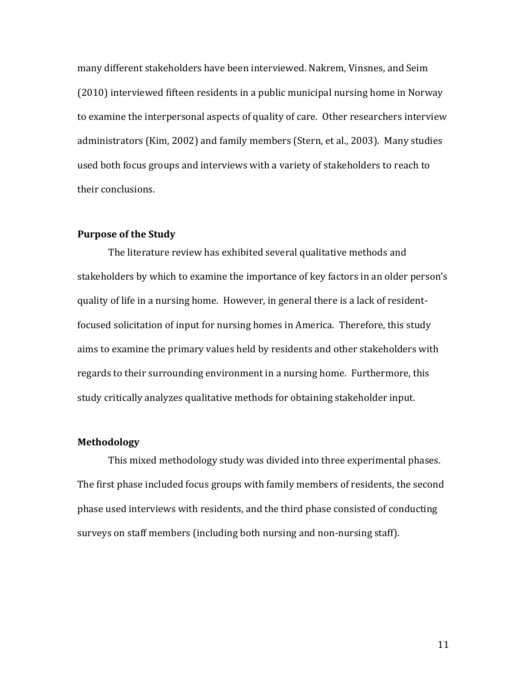many different stakeholders have been interviewed. Nakrem, Vinsnes, and Seim (2010) interviewed fifteen residents in a public municipal nursing home in Norway to examine the interpersonal aspects of quality of care. Other researchers interview administrators (Kim, 2002) and family members (Stern, et al., 2003). Many studies used both focus groups and interviews with a variety of stakeholders to reach to their conclusions.

#### **Purpose of the Study**

The literature review has exhibited several qualitative methods and stakeholders by which to examine the importance of key factors in an older person's quality of life in a nursing home. However, in general there is a lack of residentfocused solicitation of input for nursing homes in America. Therefore, this study aims to examine the primary values held by residents and other stakeholders with regards to their surrounding environment in a nursing home. Furthermore, this study critically analyzes qualitative methods for obtaining stakeholder input.

#### **Methodology**

This mixed methodology study was divided into three experimental phases. The first phase included focus groups with family members of residents, the second phase used interviews with residents, and the third phase consisted of conducting surveys on staff members (including both nursing and non-nursing staff).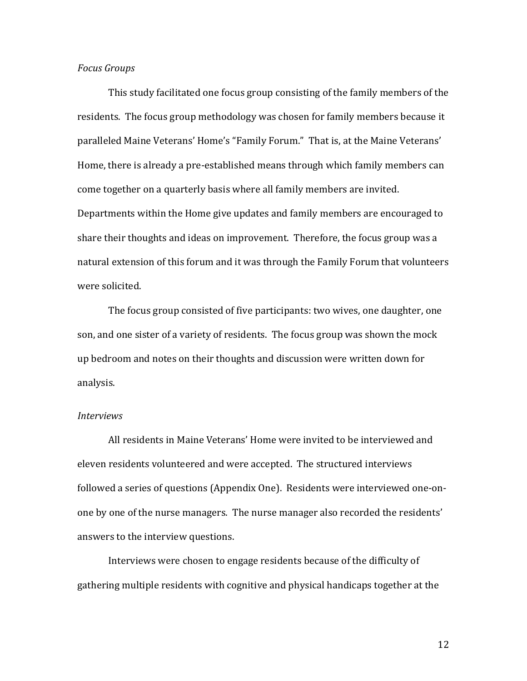#### *Focus Groups*

This study facilitated one focus group consisting of the family members of the residents. The focus group methodology was chosen for family members because it paralleled Maine Veterans' Home's "Family Forum." That is, at the Maine Veterans' Home, there is already a pre-established means through which family members can come together on a quarterly basis where all family members are invited. Departments within the Home give updates and family members are encouraged to share their thoughts and ideas on improvement. Therefore, the focus group was a natural extension of this forum and it was through the Family Forum that volunteers were solicited.

The focus group consisted of five participants: two wives, one daughter, one son, and one sister of a variety of residents. The focus group was shown the mock up bedroom and notes on their thoughts and discussion were written down for analysis.

#### *Interviews*

All residents in Maine Veterans' Home were invited to be interviewed and eleven residents volunteered and were accepted. The structured interviews followed a series of questions (Appendix One). Residents were interviewed one-onone by one of the nurse managers. The nurse manager also recorded the residents' answers to the interview questions.

Interviews were chosen to engage residents because of the difficulty of gathering multiple residents with cognitive and physical handicaps together at the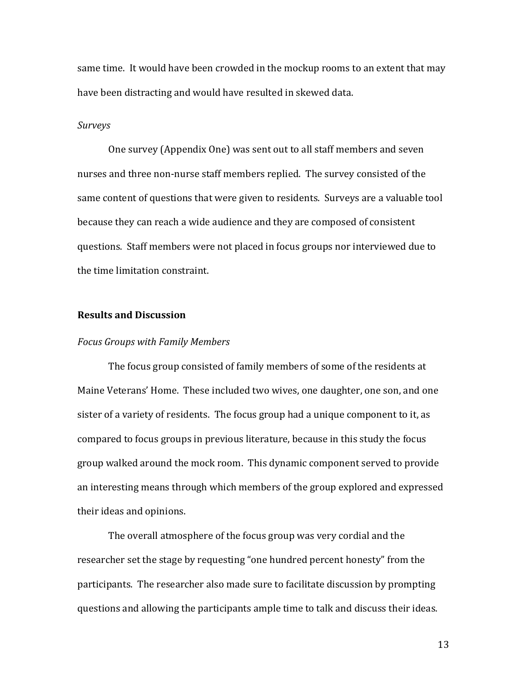same time. It would have been crowded in the mockup rooms to an extent that may have been distracting and would have resulted in skewed data.

#### *Surveys*

One survey (Appendix One) was sent out to all staff members and seven nurses and three non-nurse staff members replied. The survey consisted of the same content of questions that were given to residents. Surveys are a valuable tool because they can reach a wide audience and they are composed of consistent questions. Staff members were not placed in focus groups nor interviewed due to the time limitation constraint.

#### **Results and Discussion**

#### *Focus Groups with Family Members*

The focus group consisted of family members of some of the residents at Maine Veterans' Home. These included two wives, one daughter, one son, and one sister of a variety of residents. The focus group had a unique component to it, as compared to focus groups in previous literature, because in this study the focus group walked around the mock room. This dynamic component served to provide an interesting means through which members of the group explored and expressed their ideas and opinions.

The overall atmosphere of the focus group was very cordial and the researcher set the stage by requesting "one hundred percent honesty" from the participants. The researcher also made sure to facilitate discussion by prompting questions and allowing the participants ample time to talk and discuss their ideas.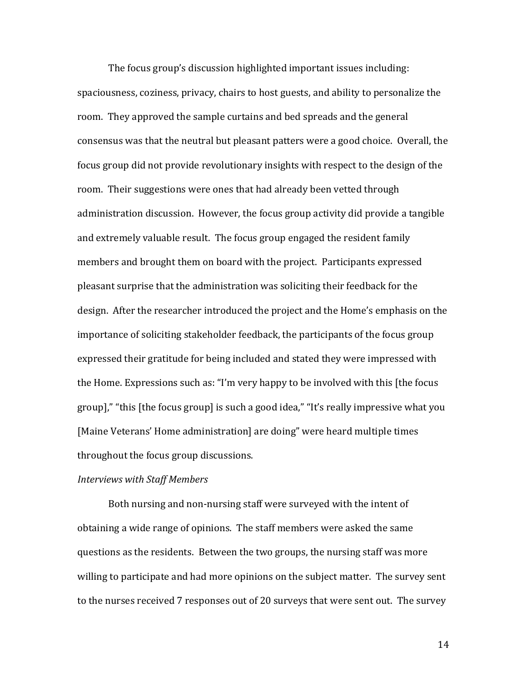The focus group's discussion highlighted important issues including: spaciousness, coziness, privacy, chairs to host guests, and ability to personalize the room. They approved the sample curtains and bed spreads and the general consensus was that the neutral but pleasant patters were a good choice. Overall, the focus group did not provide revolutionary insights with respect to the design of the room. Their suggestions were ones that had already been vetted through administration discussion. However, the focus group activity did provide a tangible and extremely valuable result. The focus group engaged the resident family members and brought them on board with the project. Participants expressed pleasant surprise that the administration was soliciting their feedback for the design. After the researcher introduced the project and the Home's emphasis on the importance of soliciting stakeholder feedback, the participants of the focus group expressed their gratitude for being included and stated they were impressed with the Home. Expressions such as: "I'm very happy to be involved with this [the focus group]," "this [the focus group] is such a good idea," "It's really impressive what you [Maine Veterans' Home administration] are doing" were heard multiple times throughout the focus group discussions.

#### *Interviews with Staff Members*

Both nursing and non-nursing staff were surveyed with the intent of obtaining a wide range of opinions. The staff members were asked the same questions as the residents. Between the two groups, the nursing staff was more willing to participate and had more opinions on the subject matter. The survey sent to the nurses received 7 responses out of 20 surveys that were sent out. The survey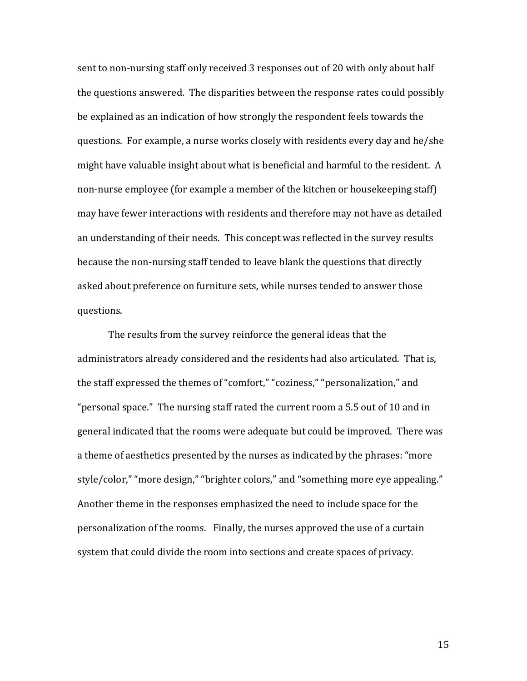sent to non-nursing staff only received 3 responses out of 20 with only about half the questions answered. The disparities between the response rates could possibly be explained as an indication of how strongly the respondent feels towards the questions. For example, a nurse works closely with residents every day and he/she might have valuable insight about what is beneficial and harmful to the resident. A non-nurse employee (for example a member of the kitchen or housekeeping staff) may have fewer interactions with residents and therefore may not have as detailed an understanding of their needs. This concept was reflected in the survey results because the non-nursing staff tended to leave blank the questions that directly asked about preference on furniture sets, while nurses tended to answer those questions.

The results from the survey reinforce the general ideas that the administrators already considered and the residents had also articulated. That is, the staff expressed the themes of "comfort," "coziness," "personalization," and "personal space." The nursing staff rated the current room a 5.5 out of 10 and in general indicated that the rooms were adequate but could be improved. There was a theme of aesthetics presented by the nurses as indicated by the phrases: "more style/color," "more design," "brighter colors," and "something more eye appealing." Another theme in the responses emphasized the need to include space for the personalization of the rooms. Finally, the nurses approved the use of a curtain system that could divide the room into sections and create spaces of privacy.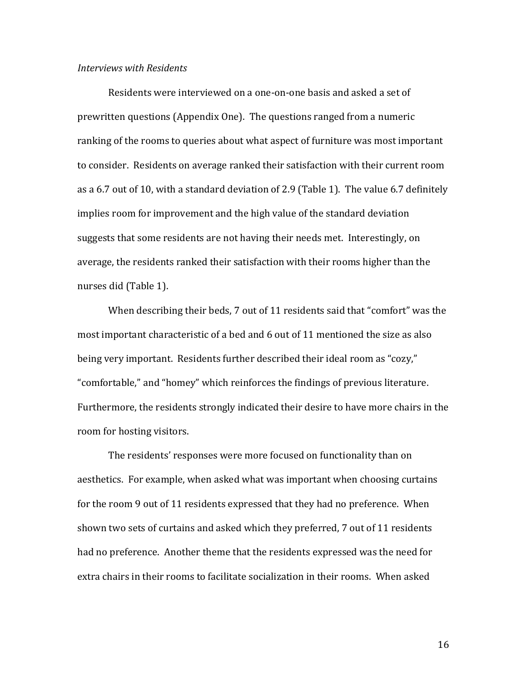#### *Interviews with Residents*

Residents were interviewed on a one-on-one basis and asked a set of prewritten questions (Appendix One). The questions ranged from a numeric ranking of the rooms to queries about what aspect of furniture was most important to consider. Residents on average ranked their satisfaction with their current room as a 6.7 out of 10, with a standard deviation of 2.9 (Table 1). The value 6.7 definitely implies room for improvement and the high value of the standard deviation suggests that some residents are not having their needs met. Interestingly, on average, the residents ranked their satisfaction with their rooms higher than the nurses did (Table 1).

When describing their beds, 7 out of 11 residents said that "comfort" was the most important characteristic of a bed and 6 out of 11 mentioned the size as also being very important. Residents further described their ideal room as "cozy," "comfortable," and "homey" which reinforces the findings of previous literature. Furthermore, the residents strongly indicated their desire to have more chairs in the room for hosting visitors.

The residents' responses were more focused on functionality than on aesthetics. For example, when asked what was important when choosing curtains for the room 9 out of 11 residents expressed that they had no preference. When shown two sets of curtains and asked which they preferred, 7 out of 11 residents had no preference. Another theme that the residents expressed was the need for extra chairs in their rooms to facilitate socialization in their rooms. When asked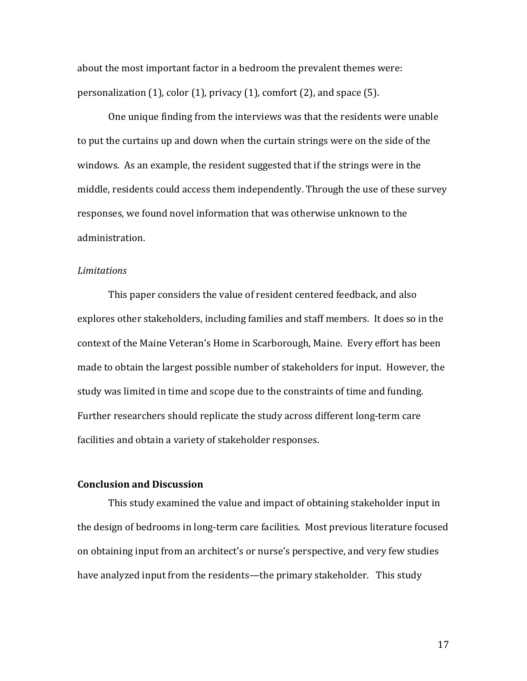about the most important factor in a bedroom the prevalent themes were: personalization (1), color (1), privacy (1), comfort (2), and space (5).

One unique finding from the interviews was that the residents were unable to put the curtains up and down when the curtain strings were on the side of the windows. As an example, the resident suggested that if the strings were in the middle, residents could access them independently. Through the use of these survey responses, we found novel information that was otherwise unknown to the administration.

#### *Limitations*

This paper considers the value of resident centered feedback, and also explores other stakeholders, including families and staff members. It does so in the context of the Maine Veteran's Home in Scarborough, Maine. Every effort has been made to obtain the largest possible number of stakeholders for input. However, the study was limited in time and scope due to the constraints of time and funding. Further researchers should replicate the study across different long-term care facilities and obtain a variety of stakeholder responses.

### **Conclusion and Discussion**

This study examined the value and impact of obtaining stakeholder input in the design of bedrooms in long-term care facilities. Most previous literature focused on obtaining input from an architect's or nurse's perspective, and very few studies have analyzed input from the residents—the primary stakeholder. This study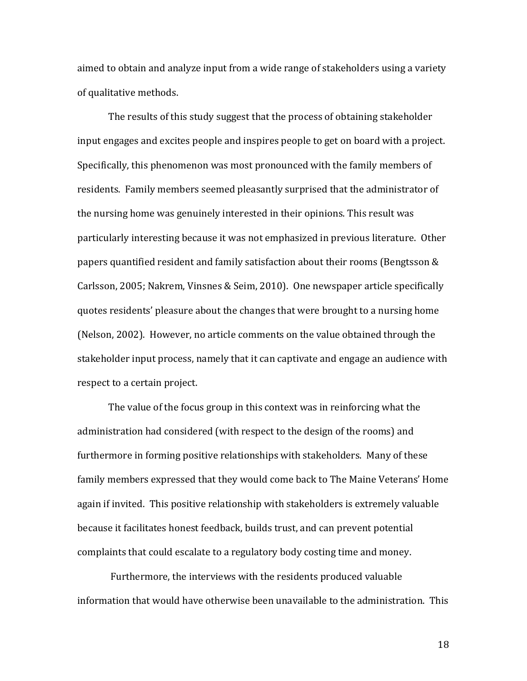aimed to obtain and analyze input from a wide range of stakeholders using a variety of qualitative methods.

The results of this study suggest that the process of obtaining stakeholder input engages and excites people and inspires people to get on board with a project. Specifically, this phenomenon was most pronounced with the family members of residents. Family members seemed pleasantly surprised that the administrator of the nursing home was genuinely interested in their opinions. This result was particularly interesting because it was not emphasized in previous literature. Other papers quantified resident and family satisfaction about their rooms (Bengtsson & Carlsson, 2005; Nakrem, Vinsnes & Seim, 2010). One newspaper article specifically quotes residents' pleasure about the changes that were brought to a nursing home (Nelson, 2002). However, no article comments on the value obtained through the stakeholder input process, namely that it can captivate and engage an audience with respect to a certain project.

The value of the focus group in this context was in reinforcing what the administration had considered (with respect to the design of the rooms) and furthermore in forming positive relationships with stakeholders. Many of these family members expressed that they would come back to The Maine Veterans' Home again if invited. This positive relationship with stakeholders is extremely valuable because it facilitates honest feedback, builds trust, and can prevent potential complaints that could escalate to a regulatory body costing time and money.

Furthermore, the interviews with the residents produced valuable information that would have otherwise been unavailable to the administration. This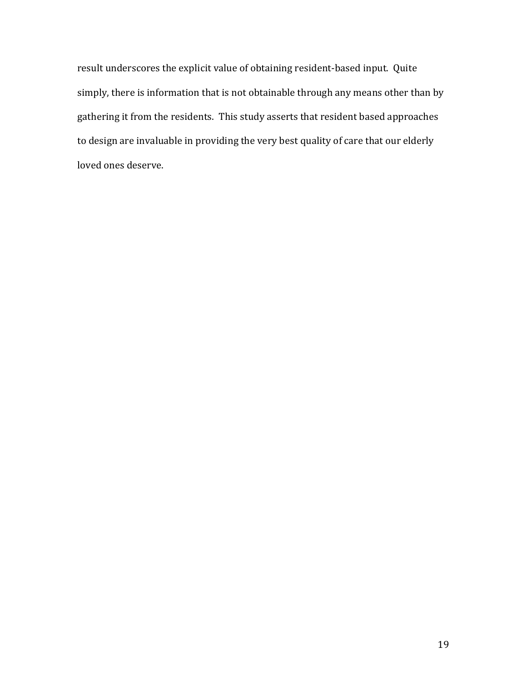result underscores the explicit value of obtaining resident-based input. Quite simply, there is information that is not obtainable through any means other than by gathering it from the residents. This study asserts that resident based approaches to design are invaluable in providing the very best quality of care that our elderly loved ones deserve.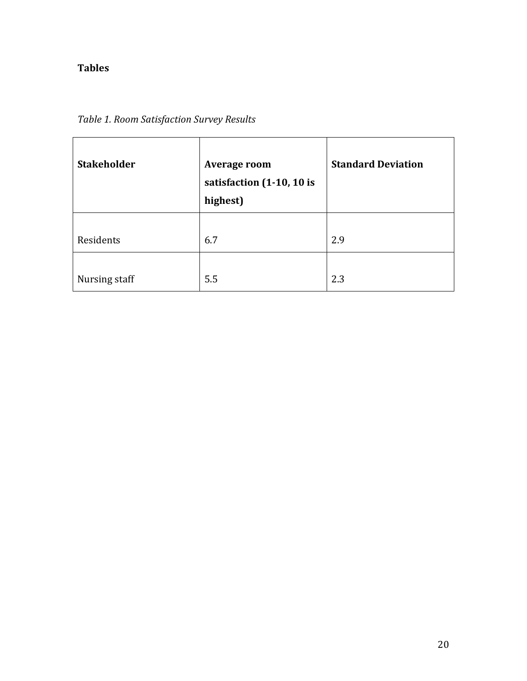## **Tables**

| <b>Stakeholder</b> | <b>Average room</b><br>satisfaction (1-10, 10 is<br>highest) | <b>Standard Deviation</b> |
|--------------------|--------------------------------------------------------------|---------------------------|
| Residents          | 6.7                                                          | 2.9                       |
| Nursing staff      | 5.5                                                          | 2.3                       |

## *Table 1. Room Satisfaction Survey Results*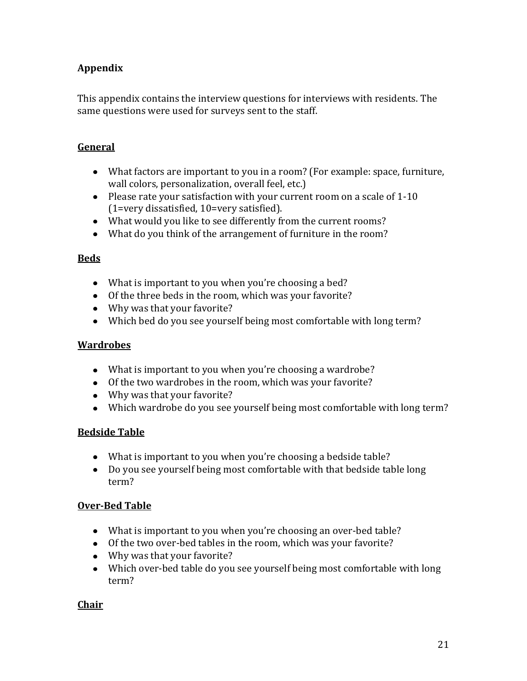## **Appendix**

This appendix contains the interview questions for interviews with residents. The same questions were used for surveys sent to the staff.

## **General**

- What factors are important to you in a room? (For example: space, furniture, wall colors, personalization, overall feel, etc.)
- Please rate your satisfaction with your current room on a scale of 1-10 (1=very dissatisfied, 10=very satisfied).
- What would you like to see differently from the current rooms?
- What do you think of the arrangement of furniture in the room?

## **Beds**

- What is important to you when you're choosing a bed?
- Of the three beds in the room, which was your favorite?
- Why was that your favorite?
- Which bed do you see yourself being most comfortable with long term?

## **Wardrobes**

- What is important to you when you're choosing a wardrobe?
- Of the two wardrobes in the room, which was your favorite?
- Why was that your favorite?
- Which wardrobe do you see yourself being most comfortable with long term?

## **Bedside Table**

- What is important to you when you're choosing a bedside table?
- Do you see yourself being most comfortable with that bedside table long term?

## **Over-Bed Table**

- What is important to you when you're choosing an over-bed table?
- Of the two over-bed tables in the room, which was your favorite?
- Why was that your favorite?
- Which over-bed table do you see yourself being most comfortable with long term?

## **Chair**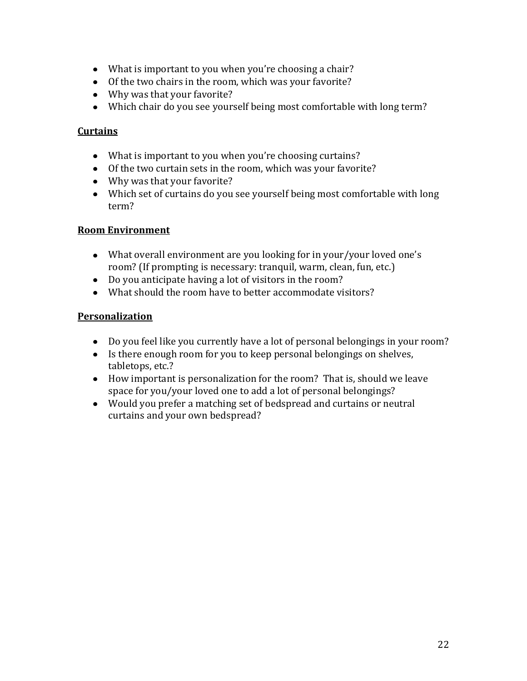- What is important to you when you're choosing a chair?
- Of the two chairs in the room, which was your favorite?
- Why was that your favorite?
- Which chair do you see yourself being most comfortable with long term?

## **Curtains**

- What is important to you when you're choosing curtains?
- Of the two curtain sets in the room, which was your favorite?
- Why was that your favorite?
- Which set of curtains do you see yourself being most comfortable with long term?

## **Room Environment**

- What overall environment are you looking for in your/your loved one's room? (If prompting is necessary: tranquil, warm, clean, fun, etc.)
- Do you anticipate having a lot of visitors in the room?
- What should the room have to better accommodate visitors?

## **Personalization**

- Do you feel like you currently have a lot of personal belongings in your room?
- Is there enough room for you to keep personal belongings on shelves, tabletops, etc.?
- How important is personalization for the room? That is, should we leave space for you/your loved one to add a lot of personal belongings?
- Would you prefer a matching set of bedspread and curtains or neutral curtains and your own bedspread?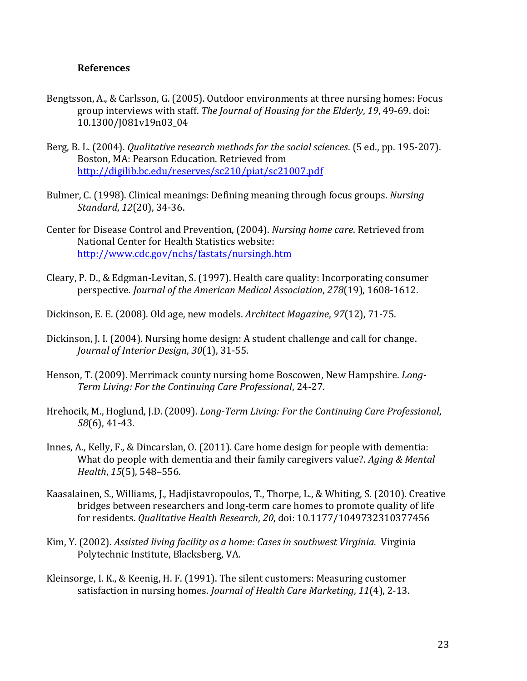### **References**

- Bengtsson, A., & Carlsson, G. (2005). Outdoor environments at three nursing homes: Focus group interviews with staff. *The Journal of Housing for the Elderly*, *19*, 49-69. doi: 10.1300/J081v19n03\_04
- Berg, B. L. (2004). *Qualitative research methods for the social sciences*. (5 ed., pp. 195-207). Boston, MA: Pearson Education. Retrieved from <http://digilib.bc.edu/reserves/sc210/piat/sc21007.pdf>
- Bulmer, C. (1998). Clinical meanings: Defining meaning through focus groups. *Nursing Standard*, *12*(20), 34-36.
- Center for Disease Control and Prevention, (2004). *Nursing home care*. Retrieved from National Center for Health Statistics website: <http://www.cdc.gov/nchs/fastats/nursingh.htm>
- Cleary, P. D., & Edgman-Levitan, S. (1997). Health care quality: Incorporating consumer perspective. *Journal of the American Medical Association*, *278*(19), 1608-1612.
- Dickinson, E. E. (2008). Old age, new models. *Architect Magazine*, *97*(12), 71-75.
- Dickinson, J. I. (2004). Nursing home design: A student challenge and call for change. *Journal of Interior Design*, *30*(1), 31-55.
- Henson, T. (2009). Merrimack county nursing home Boscowen, New Hampshire. *Long-Term Living: For the Continuing Care Professional*, 24-27.
- Hrehocik, M., Hoglund, J.D. (2009). *Long-Term Living: For the Continuing Care Professional*, *58*(6), 41-43.
- Innes, A., Kelly, F., & Dincarslan, O. (2011). Care home design for people with dementia: What do people with dementia and their family caregivers value?. *Aging & Mental Health*, *15*(5), 548–556.
- Kaasalainen, S., Williams, J., Hadjistavropoulos, T., Thorpe, L., & Whiting, S. (2010). Creative bridges between researchers and long-term care homes to promote quality of life for residents. *Qualitative Health Research*, *20*, doi: 10.1177/1049732310377456
- Kim, Y. (2002). *Assisted living facility as a home: Cases in southwest Virginia.* Virginia Polytechnic Institute, Blacksberg, VA.
- Kleinsorge, I. K., & Keenig, H. F. (1991). The silent customers: Measuring customer satisfaction in nursing homes. *Journal of Health Care Marketing*, *11*(4), 2-13.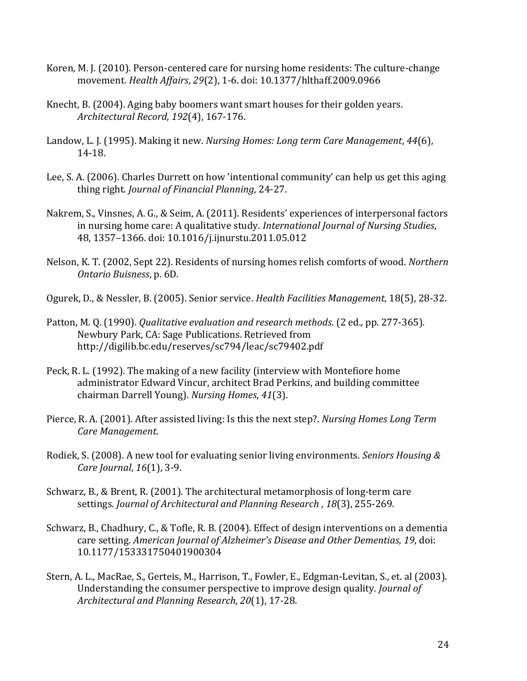- Koren, M. J. (2010). Person-centered care for nursing home residents: The culture-change movement. *Health Affairs*, *29*(2), 1-6. doi: 10.1377/hlthaff.2009.0966
- Knecht, B. (2004). Aging baby boomers want smart houses for their golden years. *Architectural Record*, *192*(4), 167-176.
- Landow, L. J. (1995). Making it new. *Nursing Homes: Long term Care Management*, *44*(6), 14-18.
- Lee, S. A. (2006). Charles Durrett on how 'intentional community' can help us get this aging thing right. *Journal of Financial Planning*, 24-27.
- Nakrem, S., Vinsnes, A. G., & Seim, A. (2011). Residents' experiences of interpersonal factors in nursing home care: A qualitative study. *International Journal of Nursing Studies*, 48, 1357–1366. doi: 10.1016/j.ijnurstu.2011.05.012
- Nelson, K. T. (2002, Sept 22). Residents of nursing homes relish comforts of wood. *Northern Ontario Buisness*, p. 6D.

Ogurek, D., & Nessler, B. (2005). Senior service. *Health Facilities Management*, 18(5), 28-32.

- Patton, M. Q. (1990). *Qualitative evaluation and research methods*. (2 ed., pp. 277-365). Newbury Park, CA: Sage Publications. Retrieved from http://digilib.bc.edu/reserves/sc794/leac/sc79402.pdf
- Peck, R. L. (1992). The making of a new facility (interview with Montefiore home administrator Edward Vincur, architect Brad Perkins, and building committee chairman Darrell Young). *Nursing Homes*, *41*(3).
- Pierce, R. A. (2001). After assisted living: Is this the next step?. *Nursing Homes Long Term Care Management*.
- Rodiek, S. (2008). A new tool for evaluating senior living environments. *Seniors Housing & Care Journal*, *16*(1), 3-9.
- Schwarz, B., & Brent, R. (2001). The architectural metamorphosis of long-term care settings. *Journal of Architectural and Planning Research* , *18*(3), 255-269.
- Schwarz, B., Chadhury, C., & Tofle, R. B. (2004). Effect of design interventions on a dementia care setting. *American Journal of Alzheimer's Disease and Other Dementias*, *19*, doi: 10.1177/153331750401900304
- Stern, A. L., MacRae, S., Gerteis, M., Harrison, T., Fowler, E., Edgman-Levitan, S., et. al (2003). Understanding the consumer perspective to improve design quality. *Journal of Architectural and Planning Research*, *20*(1), 17-28.